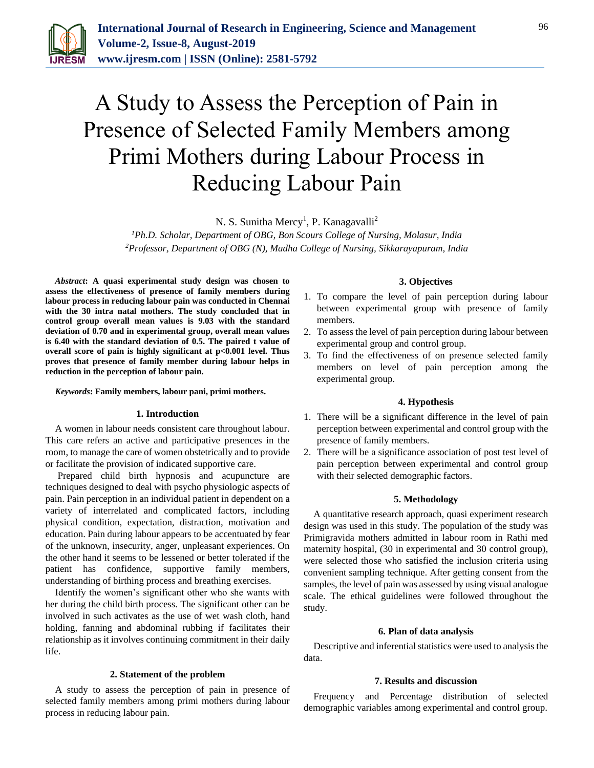

# A Study to Assess the Perception of Pain in Presence of Selected Family Members among Primi Mothers during Labour Process in Reducing Labour Pain

N. S. Sunitha Mercy<sup>1</sup>, P. Kanagavalli<sup>2</sup>

*<sup>1</sup>Ph.D. Scholar, Department of OBG, Bon Scours College of Nursing, Molasur, India <sup>2</sup>Professor, Department of OBG (N), Madha College of Nursing, Sikkarayapuram, India*

*Abstract***: A quasi experimental study design was chosen to assess the effectiveness of presence of family members during labour process in reducing labour pain was conducted in Chennai with the 30 intra natal mothers. The study concluded that in control group overall mean values is 9.03 with the standard deviation of 0.70 and in experimental group, overall mean values is 6.40 with the standard deviation of 0.5. The paired t value of overall score of pain is highly significant at p<0.001 level. Thus proves that presence of family member during labour helps in reduction in the perception of labour pain.**

#### *Keywords***: Family members, labour pani, primi mothers.**

# **1. Introduction**

A women in labour needs consistent care throughout labour. This care refers an active and participative presences in the room, to manage the care of women obstetrically and to provide or facilitate the provision of indicated supportive care.

Prepared child birth hypnosis and acupuncture are techniques designed to deal with psycho physiologic aspects of pain. Pain perception in an individual patient in dependent on a variety of interrelated and complicated factors, including physical condition, expectation, distraction, motivation and education. Pain during labour appears to be accentuated by fear of the unknown, insecurity, anger, unpleasant experiences. On the other hand it seems to be lessened or better tolerated if the patient has confidence, supportive family members, understanding of birthing process and breathing exercises.

Identify the women's significant other who she wants with her during the child birth process. The significant other can be involved in such activates as the use of wet wash cloth, hand holding, fanning and abdominal rubbing if facilitates their relationship as it involves continuing commitment in their daily life.

# **2. Statement of the problem**

A study to assess the perception of pain in presence of selected family members among primi mothers during labour process in reducing labour pain.

# **3. Objectives**

- 1. To compare the level of pain perception during labour between experimental group with presence of family members.
- 2. To assess the level of pain perception during labour between experimental group and control group.
- 3. To find the effectiveness of on presence selected family members on level of pain perception among the experimental group.

# **4. Hypothesis**

- 1. There will be a significant difference in the level of pain perception between experimental and control group with the presence of family members.
- 2. There will be a significance association of post test level of pain perception between experimental and control group with their selected demographic factors.

#### **5. Methodology**

A quantitative research approach, quasi experiment research design was used in this study. The population of the study was Primigravida mothers admitted in labour room in Rathi med maternity hospital, (30 in experimental and 30 control group), were selected those who satisfied the inclusion criteria using convenient sampling technique. After getting consent from the samples, the level of pain was assessed by using visual analogue scale. The ethical guidelines were followed throughout the study.

#### **6. Plan of data analysis**

Descriptive and inferential statistics were used to analysis the data.

# **7. Results and discussion**

Frequency and Percentage distribution of selected demographic variables among experimental and control group.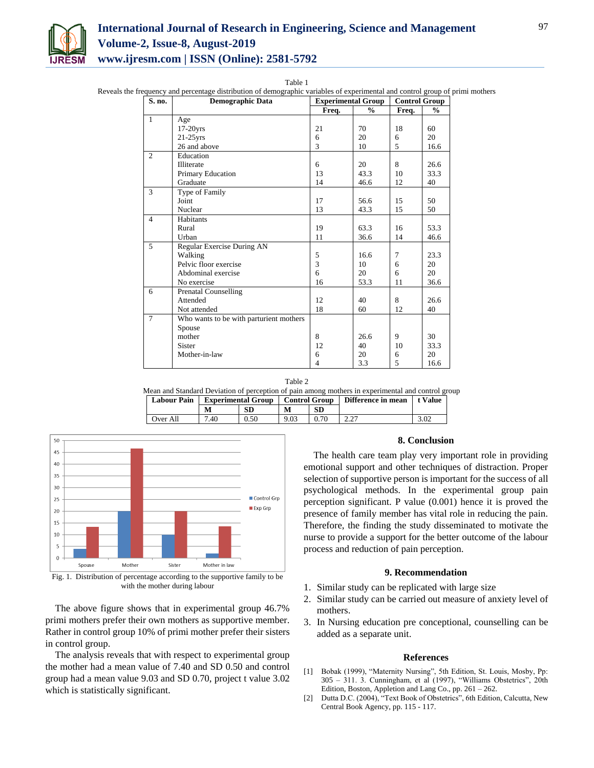

# **International Journal of Research in Engineering, Science and Management Volume-2, Issue-8, August-2019 www.ijresm.com | ISSN (Online): 2581-5792**

Table 1

Reveals the frequency and percentage distribution of demographic variables of experimental and control group of primi mothers

| S. no.         | <b>Demographic Data</b>                 | <b>Experimental Group</b> |               | <b>Control Group</b> |               |
|----------------|-----------------------------------------|---------------------------|---------------|----------------------|---------------|
|                |                                         | Freq.                     | $\frac{6}{6}$ | Freq.                | $\frac{0}{0}$ |
| -1             | Age                                     |                           |               |                      |               |
|                | $17-20$ yrs                             | 21                        | 70            | 18                   | 60            |
|                | $21-25$ yrs                             | 6                         | 20            | 6                    | 20            |
|                | 26 and above                            | 3                         | 10            | 5                    | 16.6          |
| $\overline{2}$ | Education                               |                           |               |                      |               |
|                | <b>Illiterate</b>                       | 6                         | 20            | 8                    | 26.6          |
|                | Primary Education                       | 13                        | 43.3          | 10                   | 33.3          |
|                | Graduate                                | 14                        | 46.6          | 12                   | 40            |
| 3              | Type of Family                          |                           |               |                      |               |
|                | Joint                                   | 17                        | 56.6          | 15                   | 50            |
|                | Nuclear                                 | 13                        | 43.3          | 15                   | 50            |
| $\overline{4}$ | Habitants                               |                           |               |                      |               |
|                | Rural                                   | 19                        | 63.3          | 16                   | 53.3          |
|                | Urban                                   | 11                        | 36.6          | 14                   | 46.6          |
| 5              | Regular Exercise During AN              |                           |               |                      |               |
|                | Walking                                 | 5                         | 16.6          | 7                    | 23.3          |
|                | Pelvic floor exercise                   | 3                         | 10            | 6                    | 20            |
|                | Abdominal exercise                      | 6                         | 20            | 6                    | 20            |
|                | No exercise                             | 16                        | 53.3          | 11                   | 36.6          |
| 6              | <b>Prenatal Counselling</b>             |                           |               |                      |               |
|                | Attended                                | 12                        | 40            | 8                    | 26.6          |
|                | Not attended                            | 18                        | 60            | 12                   | 40            |
| $\tau$         | Who wants to be with parturient mothers |                           |               |                      |               |
|                | Spouse                                  |                           |               |                      |               |
|                | mother                                  | 8                         | 26.6          | 9                    | 30            |
|                | Sister                                  | 12                        | 40            | 10                   | 33.3          |
|                | Mother-in-law                           | 6                         | 20            | 6                    | 20            |
|                |                                         | $\overline{4}$            | 3.3           | 5                    | 16.6          |

Table 2

| Mean and Standard Deviation of perception of pain among mothers in experimental and control group |          |                                                                                 |           |      |           |      |      |  |  |  |  |  |
|---------------------------------------------------------------------------------------------------|----------|---------------------------------------------------------------------------------|-----------|------|-----------|------|------|--|--|--|--|--|
|                                                                                                   |          | Labour Pain   Experimental Group   Control Group   Difference in mean   t Value |           |      |           |      |      |  |  |  |  |  |
|                                                                                                   |          |                                                                                 | <b>SD</b> | М    | <b>SD</b> |      |      |  |  |  |  |  |
|                                                                                                   | Over All | 7.40                                                                            | 0.50      | 9.03 | 0.70      | 2.27 | 3.02 |  |  |  |  |  |



Fig. 1. Distribution of percentage according to the supportive family to be with the mother during labour

The above figure shows that in experimental group 46.7% primi mothers prefer their own mothers as supportive member. Rather in control group 10% of primi mother prefer their sisters in control group.

The analysis reveals that with respect to experimental group the mother had a mean value of 7.40 and SD 0.50 and control group had a mean value 9.03 and SD 0.70, project t value 3.02 which is statistically significant.

# **8. Conclusion**

The health care team play very important role in providing emotional support and other techniques of distraction. Proper selection of supportive person is important for the success of all psychological methods. In the experimental group pain perception significant. P value (0.001) hence it is proved the presence of family member has vital role in reducing the pain. Therefore, the finding the study disseminated to motivate the nurse to provide a support for the better outcome of the labour process and reduction of pain perception.

# **9. Recommendation**

- 1. Similar study can be replicated with large size
- 2. Similar study can be carried out measure of anxiety level of mothers.
- 3. In Nursing education pre conceptional, counselling can be added as a separate unit.

#### **References**

- [1] Bobak (1999), "Maternity Nursing", 5th Edition, St. Louis, Mosby, Pp: 305 – 311. 3. Cunningham, et al (1997), "Williams Obstetrics", 20th Edition, Boston, Appletion and Lang Co., pp. 261 – 262.
- [2] Dutta D.C. (2004), "Text Book of Obstetrics", 6th Edition, Calcutta, New Central Book Agency, pp. 115 - 117.